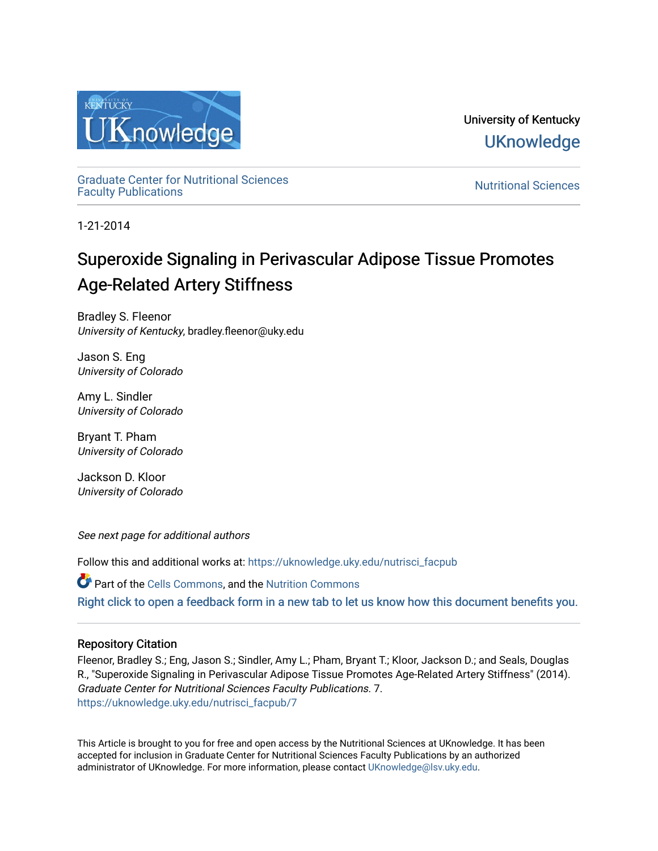

University of Kentucky **UKnowledge** 

[Graduate Center for Nutritional Sciences](https://uknowledge.uky.edu/nutrisci_facpub)  Graduate Center for Nutritional Sciences<br>[Faculty Publications](https://uknowledge.uky.edu/nutrisci_facpub)

1-21-2014

# Superoxide Signaling in Perivascular Adipose Tissue Promotes Age-Related Artery Stiffness

Bradley S. Fleenor University of Kentucky, bradley.fleenor@uky.edu

Jason S. Eng University of Colorado

Amy L. Sindler University of Colorado

Bryant T. Pham University of Colorado

Jackson D. Kloor University of Colorado

See next page for additional authors

Follow this and additional works at: [https://uknowledge.uky.edu/nutrisci\\_facpub](https://uknowledge.uky.edu/nutrisci_facpub?utm_source=uknowledge.uky.edu%2Fnutrisci_facpub%2F7&utm_medium=PDF&utm_campaign=PDFCoverPages) 

Part of the [Cells Commons,](http://network.bepress.com/hgg/discipline/940?utm_source=uknowledge.uky.edu%2Fnutrisci_facpub%2F7&utm_medium=PDF&utm_campaign=PDFCoverPages) and the [Nutrition Commons](http://network.bepress.com/hgg/discipline/95?utm_source=uknowledge.uky.edu%2Fnutrisci_facpub%2F7&utm_medium=PDF&utm_campaign=PDFCoverPages)  [Right click to open a feedback form in a new tab to let us know how this document benefits you.](https://uky.az1.qualtrics.com/jfe/form/SV_9mq8fx2GnONRfz7)

# Repository Citation

Fleenor, Bradley S.; Eng, Jason S.; Sindler, Amy L.; Pham, Bryant T.; Kloor, Jackson D.; and Seals, Douglas R., "Superoxide Signaling in Perivascular Adipose Tissue Promotes Age-Related Artery Stiffness" (2014). Graduate Center for Nutritional Sciences Faculty Publications. 7. [https://uknowledge.uky.edu/nutrisci\\_facpub/7](https://uknowledge.uky.edu/nutrisci_facpub/7?utm_source=uknowledge.uky.edu%2Fnutrisci_facpub%2F7&utm_medium=PDF&utm_campaign=PDFCoverPages) 

This Article is brought to you for free and open access by the Nutritional Sciences at UKnowledge. It has been accepted for inclusion in Graduate Center for Nutritional Sciences Faculty Publications by an authorized administrator of UKnowledge. For more information, please contact [UKnowledge@lsv.uky.edu](mailto:UKnowledge@lsv.uky.edu).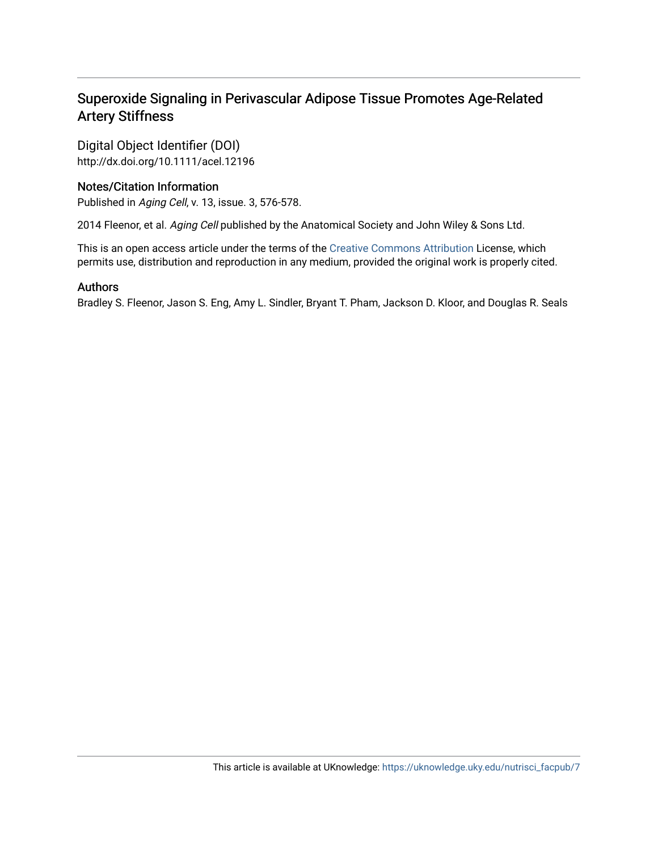# Superoxide Signaling in Perivascular Adipose Tissue Promotes Age-Related Artery Stiffness

Digital Object Identifier (DOI) http://dx.doi.org/10.1111/acel.12196

## Notes/Citation Information

Published in Aging Cell, v. 13, issue. 3, 576-578.

2014 Fleenor, et al. Aging Cell published by the Anatomical Society and John Wiley & Sons Ltd.

This is an open access article under the terms of the [Creative Commons Attribution](http://creativecommons.org/licenses/by/3.0/) License, which permits use, distribution and reproduction in any medium, provided the original work is properly cited.

### Authors

Bradley S. Fleenor, Jason S. Eng, Amy L. Sindler, Bryant T. Pham, Jackson D. Kloor, and Douglas R. Seals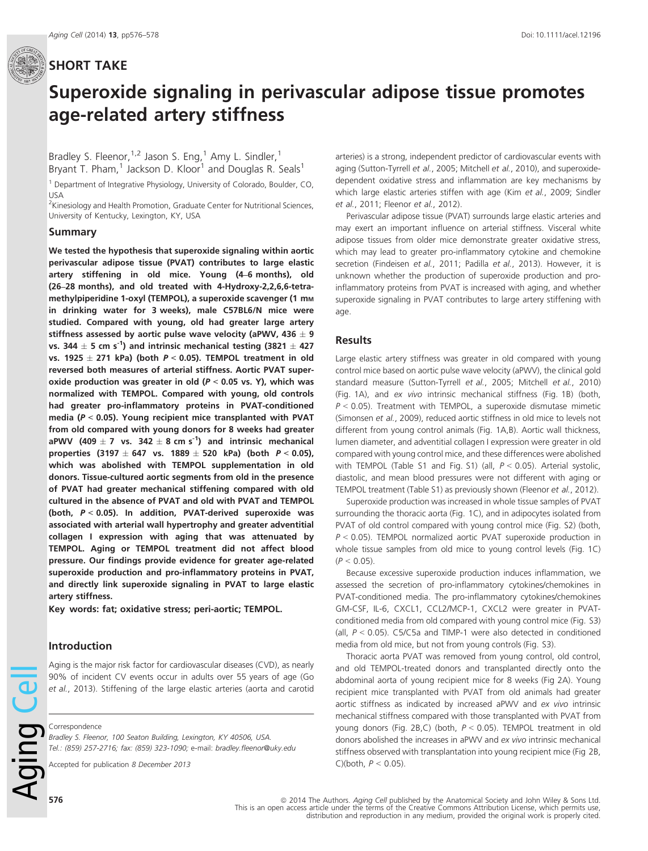# SHORT TAKE

# Superoxide signaling in perivascular adipose tissue promotes age-related artery stiffness

Bradley S. Fleenor,  $1/2$  Jason S. Eng,  $1/2$  Amy L. Sindler,  $1/2$ Bryant T. Pham,<sup>1</sup> Jackson D. Kloor<sup>1</sup> and Douglas R. Seals<sup>1</sup>

<sup>1</sup> Department of Integrative Physiology, University of Colorado, Boulder, CO, USA

<sup>2</sup>Kinesiology and Health Promotion, Graduate Center for Nutritional Sciences, University of Kentucky, Lexington, KY, USA

#### Summary

We tested the hypothesis that superoxide signaling within aortic perivascular adipose tissue (PVAT) contributes to large elastic artery stiffening in old mice. Young (4–6 months), old (26–28 months), and old treated with 4-Hydroxy-2,2,6,6-tetramethylpiperidine 1-oxyl (TEMPOL), a superoxide scavenger (1 mm in drinking water for 3 weeks), male C57BL6/N mice were studied. Compared with young, old had greater large artery stiffness assessed by aortic pulse wave velocity (aPWV, 436  $\pm$  9 vs. 344  $\pm$  5 cm s<sup>-1</sup>) and intrinsic mechanical testing (3821  $\pm$  427 vs. 1925  $\pm$  271 kPa) (both  $P < 0.05$ ). TEMPOL treatment in old reversed both measures of arterial stiffness. Aortic PVAT superoxide production was greater in old ( $P < 0.05$  vs. Y), which was normalized with TEMPOL. Compared with young, old controls had greater pro-inflammatory proteins in PVAT-conditioned media ( $P < 0.05$ ). Young recipient mice transplanted with PVAT from old compared with young donors for 8 weeks had greater aPWV (409  $\pm$  7 vs. 342  $\pm$  8 cm s<sup>-1</sup>) and intrinsic mechanical properties (3197  $\pm$  647 vs. 1889  $\pm$  520 kPa) (both  $P < 0.05$ ), which was abolished with TEMPOL supplementation in old donors. Tissue-cultured aortic segments from old in the presence of PVAT had greater mechanical stiffening compared with old cultured in the absence of PVAT and old with PVAT and TEMPOL (both,  $P < 0.05$ ). In addition, PVAT-derived superoxide was associated with arterial wall hypertrophy and greater adventitial collagen I expression with aging that was attenuated by TEMPOL. Aging or TEMPOL treatment did not affect blood pressure. Our findings provide evidence for greater age-related superoxide production and pro-inflammatory proteins in PVAT, and directly link superoxide signaling in PVAT to large elastic artery stiffness.

Key words: fat; oxidative stress; peri-aortic; TEMPOL.

#### Introduction

Aging is the major risk factor for cardiovascular diseases (CVD), as nearly 90% of incident CV events occur in adults over 55 years of age (Go et al., 2013). Stiffening of the large elastic arteries (aorta and carotid

Correspondence

Bradley S. Fleenor, 100 Seaton Building, Lexington, KY 40506, USA. Tel.: (859) 257-2716; fax: (859) 323-1090; e-mail: bradley.fleenor@uky.edu

Accepted for publication 8 December 2013

arteries) is a strong, independent predictor of cardiovascular events with aging (Sutton-Tyrrell et al., 2005; Mitchell et al., 2010), and superoxidedependent oxidative stress and inflammation are key mechanisms by which large elastic arteries stiffen with age (Kim et al., 2009; Sindler et al., 2011; Fleenor et al., 2012).

Perivascular adipose tissue (PVAT) surrounds large elastic arteries and may exert an important influence on arterial stiffness. Visceral white adipose tissues from older mice demonstrate greater oxidative stress, which may lead to greater pro-inflammatory cytokine and chemokine secretion (Findeisen et al., 2011; Padilla et al., 2013). However, it is unknown whether the production of superoxide production and proinflammatory proteins from PVAT is increased with aging, and whether superoxide signaling in PVAT contributes to large artery stiffening with age.

#### Results

Large elastic artery stiffness was greater in old compared with young control mice based on aortic pulse wave velocity (aPWV), the clinical gold standard measure (Sutton-Tyrrell et al., 2005; Mitchell et al., 2010) (Fig. 1A), and ex vivo intrinsic mechanical stiffness (Fig. 1B) (both,  $P < 0.05$ ). Treatment with TEMPOL, a superoxide dismutase mimetic (Simonsen et al., 2009), reduced aortic stiffness in old mice to levels not different from young control animals (Fig. 1A,B). Aortic wall thickness, lumen diameter, and adventitial collagen I expression were greater in old compared with young control mice, and these differences were abolished with TEMPOL (Table S1 and Fig. S1) (all, P < 0.05). Arterial systolic, diastolic, and mean blood pressures were not different with aging or TEMPOL treatment (Table S1) as previously shown (Fleenor et al., 2012).

Superoxide production was increased in whole tissue samples of PVAT surrounding the thoracic aorta (Fig. 1C), and in adipocytes isolated from PVAT of old control compared with young control mice (Fig. S2) (both,  $P < 0.05$ ). TEMPOL normalized aortic PVAT superoxide production in whole tissue samples from old mice to young control levels (Fig. 1C)  $(P < 0.05)$ .

Because excessive superoxide production induces inflammation, we assessed the secretion of pro-inflammatory cytokines/chemokines in PVAT-conditioned media. The pro-inflammatory cytokines/chemokines GM-CSF, IL-6, CXCL1, CCL2/MCP-1, CXCL2 were greater in PVATconditioned media from old compared with young control mice (Fig. S3) (all,  $P < 0.05$ ). C5/C5a and TIMP-1 were also detected in conditioned media from old mice, but not from young controls (Fig. S3).

Thoracic aorta PVAT was removed from young control, old control, and old TEMPOL-treated donors and transplanted directly onto the abdominal aorta of young recipient mice for 8 weeks (Fig 2A). Young recipient mice transplanted with PVAT from old animals had greater aortic stiffness as indicated by increased aPWV and ex vivo intrinsic mechanical stiffness compared with those transplanted with PVAT from young donors (Fig. 2B,C) (both,  $P < 0.05$ ). TEMPOL treatment in old donors abolished the increases in aPWV and ex vivo intrinsic mechanical stiffness observed with transplantation into young recipient mice (Fig 2B, C)(both,  $P < 0.05$ ).

Aging Ce

576 **576 Example 2014** The Authors. Aging Cell published by the Anatomical Society and John Wiley & Sons Ltd. This is an open access article under the terms of the Creative Commons Attribution License, which permits use, distribution and reproduction in any medium, provided the original work is properly cited.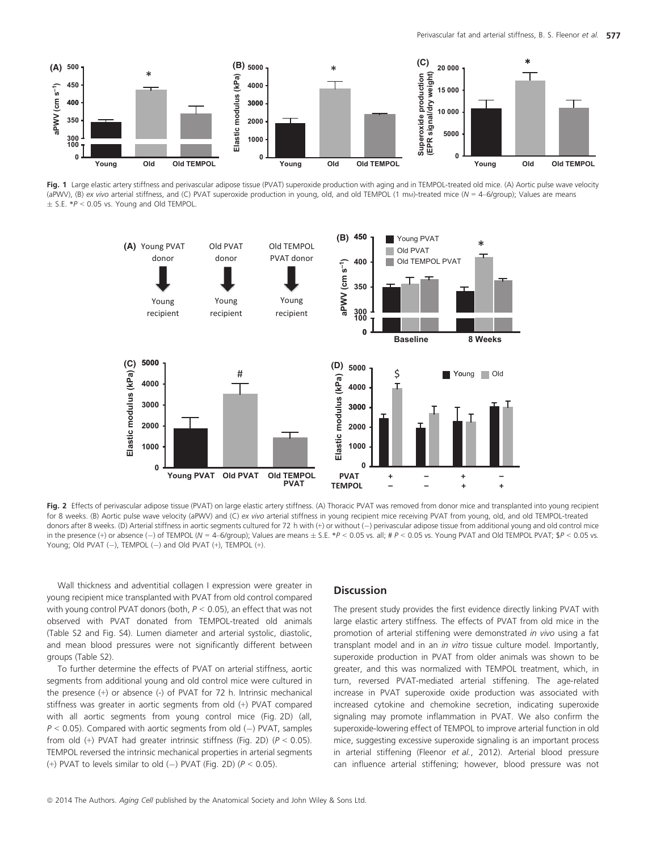

Fig. 1 Large elastic artery stiffness and perivascular adipose tissue (PVAT) superoxide production with aging and in TEMPOL-treated old mice. (A) Aortic pulse wave velocity (aPWV), (B) ex vivo arterial stiffness, and (C) PVAT superoxide production in young, old, and old TEMPOL (1 mm)-treated mice (N = 4-6/group); Values are means  $\pm$  S.E. \*P < 0.05 vs. Young and Old TEMPOL.



Fig. 2 Effects of perivascular adipose tissue (PVAT) on large elastic artery stiffness. (A) Thoracic PVAT was removed from donor mice and transplanted into young recipient for 8 weeks. (B) Aortic pulse wave velocity (aPWV) and (C) ex vivo arterial stiffness in young recipient mice receiving PVAT from young, old, and old TEMPOL-treated donors after 8 weeks. (D) Arterial stiffness in aortic segments cultured for 72 h with (+) or without (-) perivascular adipose tissue from additional young and old control mice in the presence (+) or absence (-) of TEMPOL (N = 4-6/group); Values are means  $\pm$  S.E. \*P < 0.05 vs. all; #P < 0.05 vs. Young PVAT and Old TEMPOL PVAT; \$P < 0.05 vs. Young; Old PVAT  $(-)$ , TEMPOL  $(-)$  and Old PVAT  $(+)$ , TEMPOL  $(+)$ .

Wall thickness and adventitial collagen I expression were greater in young recipient mice transplanted with PVAT from old control compared with young control PVAT donors (both,  $P < 0.05$ ), an effect that was not observed with PVAT donated from TEMPOL-treated old animals (Table S2 and Fig. S4). Lumen diameter and arterial systolic, diastolic, and mean blood pressures were not significantly different between groups (Table S2).

To further determine the effects of PVAT on arterial stiffness, aortic segments from additional young and old control mice were cultured in the presence (+) or absence (-) of PVAT for 72 h. Intrinsic mechanical stiffness was greater in aortic segments from old (+) PVAT compared with all aortic segments from young control mice (Fig. 2D) (all,  $P < 0.05$ ). Compared with aortic segments from old (-) PVAT, samples from old (+) PVAT had greater intrinsic stiffness (Fig. 2D) ( $P < 0.05$ ). TEMPOL reversed the intrinsic mechanical properties in arterial segments (+) PVAT to levels similar to old (-) PVAT (Fig. 2D) ( $P < 0.05$ ).

#### **Discussion**

The present study provides the first evidence directly linking PVAT with large elastic artery stiffness. The effects of PVAT from old mice in the promotion of arterial stiffening were demonstrated in vivo using a fat transplant model and in an in vitro tissue culture model. Importantly, superoxide production in PVAT from older animals was shown to be greater, and this was normalized with TEMPOL treatment, which, in turn, reversed PVAT-mediated arterial stiffening. The age-related increase in PVAT superoxide oxide production was associated with increased cytokine and chemokine secretion, indicating superoxide signaling may promote inflammation in PVAT. We also confirm the superoxide-lowering effect of TEMPOL to improve arterial function in old mice, suggesting excessive superoxide signaling is an important process in arterial stiffening (Fleenor et al., 2012). Arterial blood pressure can influence arterial stiffening; however, blood pressure was not